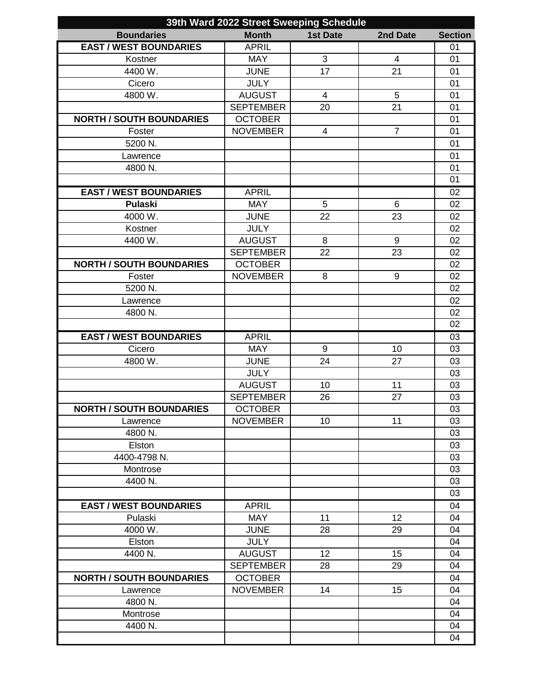| 39th Ward 2022 Street Sweeping Schedule |                            |                 |                |                 |
|-----------------------------------------|----------------------------|-----------------|----------------|-----------------|
| <b>Boundaries</b>                       | <b>Month</b>               | <b>1st Date</b> | 2nd Date       | <b>Section</b>  |
| <b>EAST / WEST BOUNDARIES</b>           | <b>APRIL</b>               |                 |                | 01              |
| Kostner                                 | <b>MAY</b>                 | 3               | $\overline{4}$ | 01              |
| 4400 W.                                 | <b>JUNE</b>                | 17              | 21             | 01              |
| Cicero                                  | <b>JULY</b>                |                 |                | 01              |
| 4800 W.                                 | <b>AUGUST</b>              | $\overline{4}$  | 5              | 01              |
|                                         | <b>SEPTEMBER</b>           | 20              | 21             | 01              |
| <b>NORTH / SOUTH BOUNDARIES</b>         | <b>OCTOBER</b>             |                 |                | 01              |
| Foster                                  | <b>NOVEMBER</b>            | $\overline{4}$  | $\overline{7}$ | 01              |
| 5200 N.                                 |                            |                 |                | 01              |
| Lawrence                                |                            |                 |                | 01              |
| 4800 N.                                 |                            |                 |                | 01              |
|                                         |                            |                 |                | 01              |
| <b>EAST / WEST BOUNDARIES</b>           | <b>APRIL</b>               |                 |                | 02              |
| Pulaski                                 | <b>MAY</b>                 | 5               | 6              | 02              |
| 4000 W.                                 | <b>JUNE</b>                | 22              | 23             | 02              |
| Kostner                                 | <b>JULY</b>                |                 |                | 02              |
| 4400 W.                                 | <b>AUGUST</b>              | 8               | 9              | 02              |
|                                         | <b>SEPTEMBER</b>           | 22              | 23             | 02              |
| <b>NORTH / SOUTH BOUNDARIES</b>         | <b>OCTOBER</b>             |                 |                | 02              |
| Foster                                  | <b>NOVEMBER</b>            | 8               | 9              | 02              |
| 5200 N.                                 |                            |                 |                | 02              |
| Lawrence                                |                            |                 |                | 02              |
| 4800 N.                                 |                            |                 |                | 02              |
|                                         |                            |                 |                | 02              |
| <b>EAST / WEST BOUNDARIES</b>           | <b>APRIL</b>               |                 |                | 03              |
| Cicero                                  | <b>MAY</b>                 | 9               | 10             | 03              |
|                                         |                            | 24              | 27             | 03              |
| 4800 W.                                 | <b>JUNE</b><br><b>JULY</b> |                 |                | 03              |
|                                         |                            | 10              | 11             | 03              |
|                                         | <b>AUGUST</b>              |                 |                |                 |
|                                         | <b>SEPTEMBER</b>           | 26              | 27             | 03              |
| <b>NORTH / SOUTH BOUNDARIES</b>         | <b>OCTOBER</b>             |                 |                | $\overline{03}$ |
| Lawrence                                | <b>NOVEMBER</b>            | 10              | 11             | 03              |
| 4800 N.                                 |                            |                 |                | 03              |
| Elston                                  |                            |                 |                | 03              |
| 4400-4798 N.                            |                            |                 |                | 03              |
| Montrose                                |                            |                 |                | 03              |
| 4400 N.                                 |                            |                 |                | 03              |
|                                         |                            |                 |                | 03              |
| <b>EAST / WEST BOUNDARIES</b>           | <b>APRIL</b>               |                 |                | 04              |
| Pulaski                                 | <b>MAY</b>                 | 11              | 12             | 04              |
| 4000 W.                                 | <b>JUNE</b>                | 28              | 29             | 04              |
| Elston                                  | <b>JULY</b>                |                 |                | 04              |
| 4400 N.                                 | <b>AUGUST</b>              | 12              | 15             | 04              |
|                                         | <b>SEPTEMBER</b>           | 28              | 29             | 04              |
| <b>NORTH / SOUTH BOUNDARIES</b>         | <b>OCTOBER</b>             |                 |                | 04              |
| Lawrence                                | <b>NOVEMBER</b>            | 14              | 15             | 04              |
| 4800 N.                                 |                            |                 |                | 04              |
| Montrose                                |                            |                 |                | 04              |
| 4400 N.                                 |                            |                 |                | 04              |
|                                         |                            |                 |                | 04              |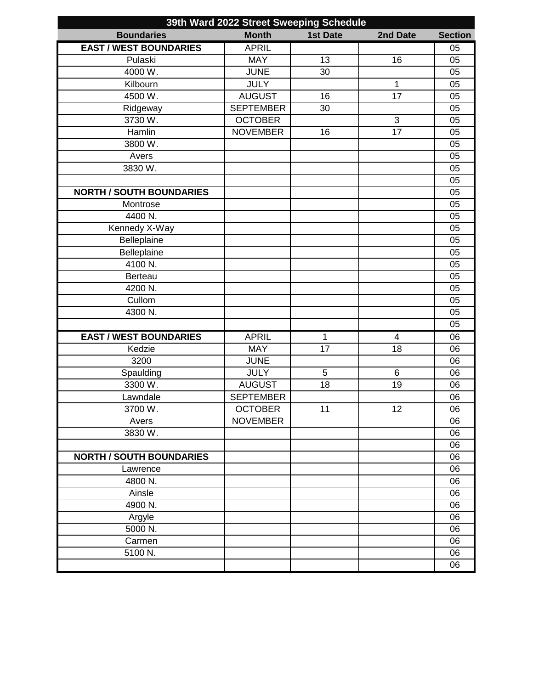| 39th Ward 2022 Street Sweeping Schedule |                  |                 |                |                |  |
|-----------------------------------------|------------------|-----------------|----------------|----------------|--|
| <b>Boundaries</b>                       | <b>Month</b>     | <b>1st Date</b> | 2nd Date       | <b>Section</b> |  |
| <b>EAST / WEST BOUNDARIES</b>           | <b>APRIL</b>     |                 |                | 05             |  |
| Pulaski                                 | <b>MAY</b>       | 13              | 16             | 05             |  |
| 4000 W.                                 | <b>JUNE</b>      | 30              |                | 05             |  |
| Kilbourn                                | <b>JULY</b>      |                 | 1              | 05             |  |
| 4500 W.                                 | <b>AUGUST</b>    | 16              | 17             | 05             |  |
| Ridgeway                                | <b>SEPTEMBER</b> | 30              |                | 05             |  |
| 3730W.                                  | <b>OCTOBER</b>   |                 | 3              | 05             |  |
| Hamlin                                  | <b>NOVEMBER</b>  | 16              | 17             | 05             |  |
| 3800 W.                                 |                  |                 |                | 05             |  |
| Avers                                   |                  |                 |                | 05             |  |
| 3830 W.                                 |                  |                 |                | 05             |  |
|                                         |                  |                 |                | 05             |  |
| <b>NORTH / SOUTH BOUNDARIES</b>         |                  |                 |                | 05             |  |
| Montrose                                |                  |                 |                | 05             |  |
| 4400 N.                                 |                  |                 |                | 05             |  |
| Kennedy X-Way                           |                  |                 |                | 05             |  |
| Belleplaine                             |                  |                 |                | 05             |  |
| Belleplaine                             |                  |                 |                | 05             |  |
| 4100 N.                                 |                  |                 |                | 05             |  |
| <b>Berteau</b>                          |                  |                 |                | 05             |  |
| 4200 N.                                 |                  |                 |                | 05             |  |
| Cullom                                  |                  |                 |                | 05             |  |
| 4300 N.                                 |                  |                 |                | 05             |  |
|                                         |                  |                 |                | 05             |  |
| <b>EAST / WEST BOUNDARIES</b>           | <b>APRIL</b>     | 1               | $\overline{4}$ | 06             |  |
| Kedzie                                  | <b>MAY</b>       | 17              | 18             | 06             |  |
| 3200                                    | <b>JUNE</b>      |                 |                | 06             |  |
| Spaulding                               | <b>JULY</b>      | 5               | 6              | 06             |  |
| $3300 \,\mathrm{W}$ .                   | <b>AUGUST</b>    | 18              | 19             | 06             |  |
| Lawndale                                | <b>SEPTEMBER</b> |                 |                | 06             |  |
| 3700 W.                                 | <b>OCTOBER</b>   | 11              | 12             | 06             |  |
| Avers                                   | <b>NOVEMBER</b>  |                 |                | 06             |  |
| 3830 W.                                 |                  |                 |                | 06             |  |
|                                         |                  |                 |                | 06             |  |
| <b>NORTH / SOUTH BOUNDARIES</b>         |                  |                 |                | 06             |  |
| Lawrence                                |                  |                 |                | 06             |  |
| 4800 N.                                 |                  |                 |                | 06             |  |
| Ainsle                                  |                  |                 |                | 06             |  |
| 4900 N.                                 |                  |                 |                | 06             |  |
| Argyle                                  |                  |                 |                | 06             |  |
| 5000 N.                                 |                  |                 |                | 06             |  |
| Carmen                                  |                  |                 |                | 06             |  |
| 5100 N.                                 |                  |                 |                | 06             |  |
|                                         |                  |                 |                | 06             |  |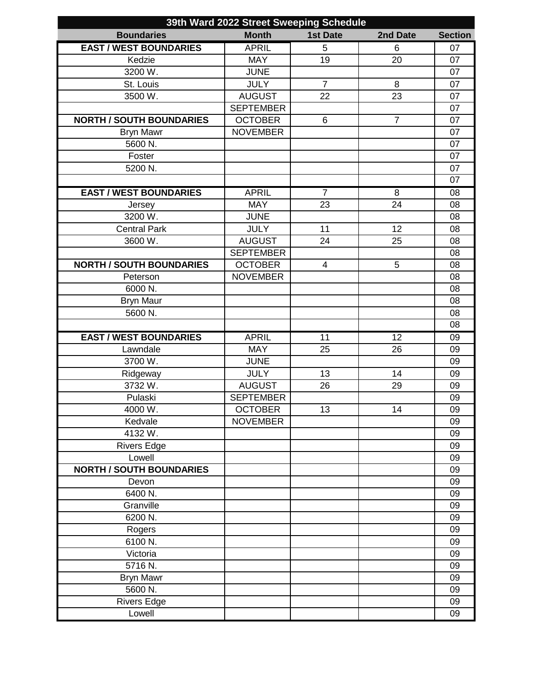|                                 | 39th Ward 2022 Street Sweeping Schedule |                         |                 |                |  |  |
|---------------------------------|-----------------------------------------|-------------------------|-----------------|----------------|--|--|
| <b>Boundaries</b>               | <b>Month</b>                            | <b>1st Date</b>         | 2nd Date        | <b>Section</b> |  |  |
| <b>EAST / WEST BOUNDARIES</b>   | <b>APRIL</b>                            | 5                       | $6\phantom{1}6$ | 07             |  |  |
| Kedzie                          | <b>MAY</b>                              | 19                      | 20              | 07             |  |  |
| 3200 W.                         | <b>JUNE</b>                             |                         |                 | 07             |  |  |
| St. Louis                       | <b>JULY</b>                             | $\overline{7}$          | $\,8\,$         | 07             |  |  |
| $3500 \,\mathrm{W}$ .           | <b>AUGUST</b>                           | 22                      | $\overline{23}$ | 07             |  |  |
|                                 | <b>SEPTEMBER</b>                        |                         |                 | 07             |  |  |
| <b>NORTH / SOUTH BOUNDARIES</b> | <b>OCTOBER</b>                          | 6                       | $\overline{7}$  | 07             |  |  |
| <b>Bryn Mawr</b>                | <b>NOVEMBER</b>                         |                         |                 | 07             |  |  |
| 5600 N.                         |                                         |                         |                 | 07             |  |  |
| Foster                          |                                         |                         |                 | 07             |  |  |
| 5200 N.                         |                                         |                         |                 | 07             |  |  |
|                                 |                                         |                         |                 | 07             |  |  |
| <b>EAST / WEST BOUNDARIES</b>   | <b>APRIL</b>                            | $\overline{7}$          | 8               | 08             |  |  |
| Jersey                          | <b>MAY</b>                              | 23                      | 24              | 08             |  |  |
| 3200 W.                         | <b>JUNE</b>                             |                         |                 | 08             |  |  |
| <b>Central Park</b>             | <b>JULY</b>                             | 11                      | 12              | 08             |  |  |
| 3600 W.                         | <b>AUGUST</b>                           | 24                      | 25              | 08             |  |  |
|                                 | <b>SEPTEMBER</b>                        |                         |                 | 08             |  |  |
| <b>NORTH / SOUTH BOUNDARIES</b> | <b>OCTOBER</b>                          | $\overline{\mathbf{4}}$ | 5               | 08             |  |  |
| Peterson                        | <b>NOVEMBER</b>                         |                         |                 | 08             |  |  |
| 6000 N.                         |                                         |                         |                 | 08             |  |  |
| <b>Bryn Maur</b>                |                                         |                         |                 | 08             |  |  |
| 5600 N.                         |                                         |                         |                 | 08             |  |  |
|                                 |                                         |                         |                 | 08             |  |  |
| <b>EAST / WEST BOUNDARIES</b>   | <b>APRIL</b>                            | 11                      | 12              | 09             |  |  |
| Lawndale                        | <b>MAY</b>                              | 25                      | 26              | 09             |  |  |
| 3700 W.                         | <b>JUNE</b>                             |                         |                 | 09             |  |  |
|                                 |                                         |                         |                 |                |  |  |
|                                 |                                         |                         |                 |                |  |  |
| Ridgeway                        | <b>JULY</b>                             | 13                      | 14              | 09             |  |  |
| 3732W.                          | <b>AUGUST</b>                           | 26                      | 29              | 09             |  |  |
| Pulaski                         | <b>SEPTEMBER</b>                        |                         |                 | 09             |  |  |
| 4000W.                          | <b>OCTOBER</b>                          | 13                      | 14              | 09             |  |  |
| Kedvale                         | <b>NOVEMBER</b>                         |                         |                 | 09             |  |  |
| 4132W.                          |                                         |                         |                 | 09             |  |  |
| <b>Rivers Edge</b>              |                                         |                         |                 | 09             |  |  |
| Lowell                          |                                         |                         |                 | 09             |  |  |
| <b>NORTH / SOUTH BOUNDARIES</b> |                                         |                         |                 | 09             |  |  |
| Devon                           |                                         |                         |                 | 09             |  |  |
| 6400 N.                         |                                         |                         |                 | 09             |  |  |
| Granville                       |                                         |                         |                 | 09             |  |  |
| 6200 N.                         |                                         |                         |                 | 09             |  |  |
| Rogers                          |                                         |                         |                 | 09             |  |  |
| 6100 N.                         |                                         |                         |                 | 09             |  |  |
| Victoria                        |                                         |                         |                 | 09             |  |  |
| 5716 N.                         |                                         |                         |                 | 09             |  |  |
| Bryn Mawr                       |                                         |                         |                 | 09<br>09       |  |  |
| 5600 N.<br>Rivers Edge          |                                         |                         |                 | 09             |  |  |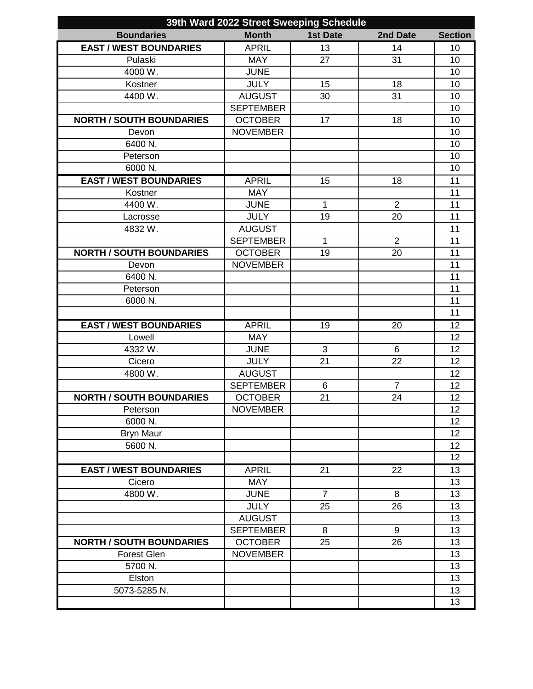| 39th Ward 2022 Street Sweeping Schedule |                  |                 |                 |                |  |
|-----------------------------------------|------------------|-----------------|-----------------|----------------|--|
| <b>Boundaries</b>                       | <b>Month</b>     | <b>1st Date</b> | 2nd Date        | <b>Section</b> |  |
| <b>EAST / WEST BOUNDARIES</b>           | <b>APRIL</b>     | 13              | 14              | 10             |  |
| Pulaski                                 | <b>MAY</b>       | 27              | $\overline{31}$ | 10             |  |
| 4000 W.                                 | <b>JUNE</b>      |                 |                 | 10             |  |
| Kostner                                 | <b>JULY</b>      | 15              | 18              | 10             |  |
| 4400 W.                                 | <b>AUGUST</b>    | 30              | 31              | 10             |  |
|                                         | <b>SEPTEMBER</b> |                 |                 | 10             |  |
| <b>NORTH / SOUTH BOUNDARIES</b>         | <b>OCTOBER</b>   | 17              | 18              | 10             |  |
| Devon                                   | <b>NOVEMBER</b>  |                 |                 | 10             |  |
| 6400 N.                                 |                  |                 |                 | 10             |  |
| Peterson                                |                  |                 |                 | 10             |  |
| 6000 N.                                 |                  |                 |                 | 10             |  |
| <b>EAST / WEST BOUNDARIES</b>           | <b>APRIL</b>     | 15              | 18              | 11             |  |
| Kostner                                 | <b>MAY</b>       |                 |                 | 11             |  |
| 4400 W.                                 | <b>JUNE</b>      | 1               | $\overline{2}$  | 11             |  |
| Lacrosse                                | <b>JULY</b>      | 19              | 20              | 11             |  |
| 4832 W.                                 | <b>AUGUST</b>    |                 |                 | 11             |  |
|                                         | <b>SEPTEMBER</b> | $\mathbf{1}$    | $\overline{2}$  | 11             |  |
| <b>NORTH / SOUTH BOUNDARIES</b>         | <b>OCTOBER</b>   | 19              | 20              | 11             |  |
| Devon                                   | <b>NOVEMBER</b>  |                 |                 | 11             |  |
| 6400 N.                                 |                  |                 |                 | 11             |  |
| Peterson                                |                  |                 |                 | 11             |  |
| 6000 N.                                 |                  |                 |                 | 11             |  |
|                                         |                  |                 |                 | 11             |  |
| <b>EAST / WEST BOUNDARIES</b>           | <b>APRIL</b>     | 19              | 20              | 12             |  |
| Lowell                                  | <b>MAY</b>       |                 |                 | 12             |  |
| 4332W.                                  | <b>JUNE</b>      | 3               | 6               | 12             |  |
| Cicero                                  | <b>JULY</b>      | 21              | 22              | 12             |  |
| 4800 W.                                 | <b>AUGUST</b>    |                 |                 | 12             |  |
|                                         | <b>SEPTEMBER</b> | 6               | $\overline{7}$  | 12             |  |
| <b>NORTH / SOUTH BOUNDARIES</b>         | <b>OCTOBER</b>   | 21              | 24              | 12             |  |
| Peterson                                | <b>NOVEMBER</b>  |                 |                 | 12             |  |
| 6000 N.                                 |                  |                 |                 | 12             |  |
| <b>Bryn Maur</b>                        |                  |                 |                 | 12             |  |
| 5600 N.                                 |                  |                 |                 | 12             |  |
|                                         |                  |                 |                 | 12             |  |
| <b>EAST / WEST BOUNDARIES</b>           | <b>APRIL</b>     | 21              | 22              | 13             |  |
| Cicero                                  | <b>MAY</b>       |                 |                 | 13             |  |
| 4800 W.                                 | <b>JUNE</b>      | $\overline{7}$  | 8               | 13             |  |
|                                         | <b>JULY</b>      | 25              | 26              | 13             |  |
|                                         | <b>AUGUST</b>    |                 |                 | 13             |  |
|                                         | <b>SEPTEMBER</b> | 8               | 9               | 13             |  |
| <b>NORTH / SOUTH BOUNDARIES</b>         | <b>OCTOBER</b>   | 25              | 26              | 13             |  |
| <b>Forest Glen</b>                      | <b>NOVEMBER</b>  |                 |                 | 13             |  |
| 5700 N.                                 |                  |                 |                 | 13             |  |
| Elston                                  |                  |                 |                 | 13             |  |
| 5073-5285 N.                            |                  |                 |                 | 13             |  |
|                                         |                  |                 |                 | 13             |  |